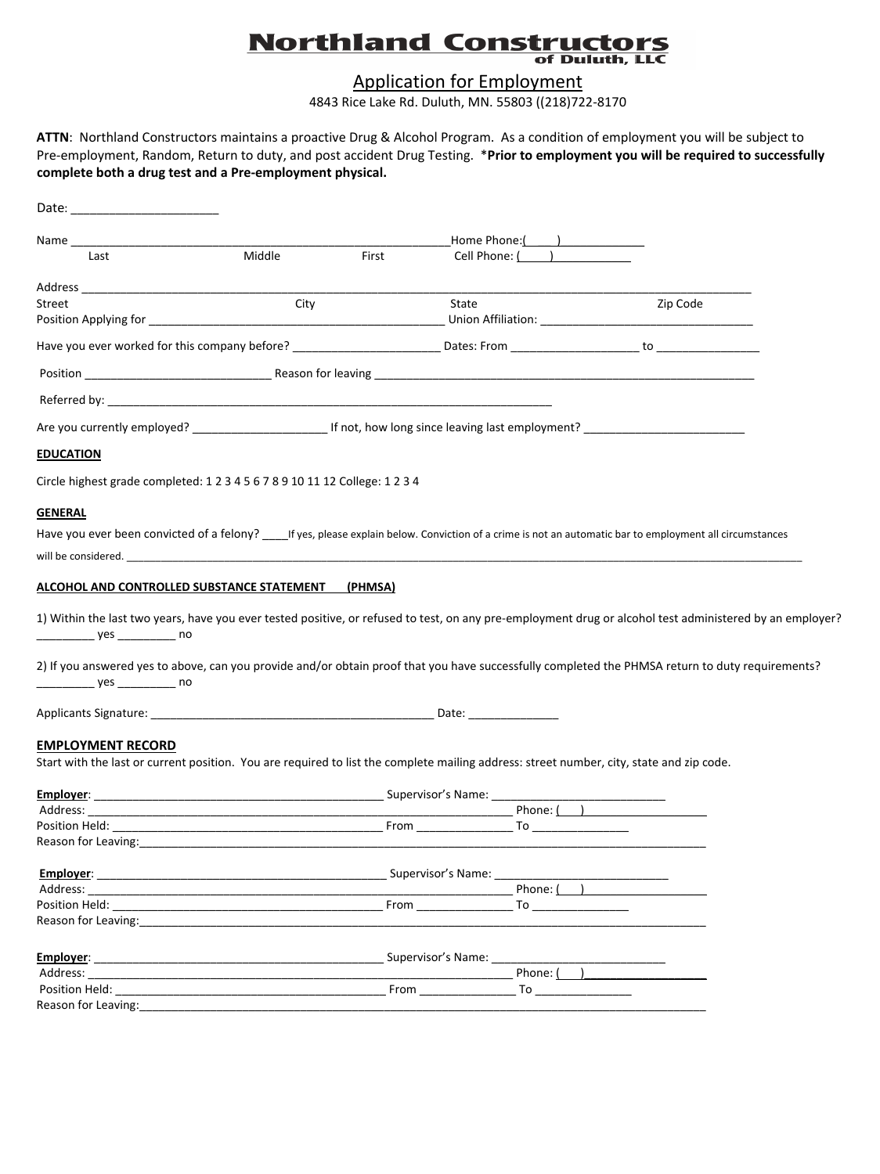## **Northland Constructors** of Duluth, LLC

Application for Employment

4843 Rice Lake Rd. Duluth, MN. 55803 ((218)722‐8170

**ATTN**: Northland Constructors maintains a proactive Drug & Alcohol Program. As a condition of employment you will be subject to Pre‐employment, Random, Return to duty, and post accident Drug Testing. \***Prior to employment you will be required to successfully complete both a drug test and a Pre‐employment physical.**

| Date:                                                                                                                                                                                                                              |        |                    |                    |                        |  |
|------------------------------------------------------------------------------------------------------------------------------------------------------------------------------------------------------------------------------------|--------|--------------------|--------------------|------------------------|--|
| Name_____                                                                                                                                                                                                                          |        |                    | Home Phone: ( )    |                        |  |
| Last                                                                                                                                                                                                                               | Middle | First              | Cell Phone: ( )    |                        |  |
|                                                                                                                                                                                                                                    |        |                    |                    |                        |  |
| Street                                                                                                                                                                                                                             | City   |                    | State              | Zip Code               |  |
|                                                                                                                                                                                                                                    |        |                    |                    |                        |  |
|                                                                                                                                                                                                                                    |        |                    |                    |                        |  |
|                                                                                                                                                                                                                                    |        |                    |                    |                        |  |
|                                                                                                                                                                                                                                    |        |                    |                    |                        |  |
| Are you currently employed? _____________________________If not, how long since leaving last employment? _____________________________                                                                                             |        |                    |                    |                        |  |
| <b>EDUCATION</b>                                                                                                                                                                                                                   |        |                    |                    |                        |  |
| Circle highest grade completed: 1 2 3 4 5 6 7 8 9 10 11 12 College: 1 2 3 4                                                                                                                                                        |        |                    |                    |                        |  |
| <b>GENERAL</b>                                                                                                                                                                                                                     |        |                    |                    |                        |  |
| Have you ever been convicted of a felony? _____If yes, please explain below. Conviction of a crime is not an automatic bar to employment all circumstances                                                                         |        |                    |                    |                        |  |
| will be considered. The contract of the contract of the contract of the contract of the contract of the contract of the contract of the contract of the contract of the contract of the contract of the contract of the contra     |        |                    |                    |                        |  |
|                                                                                                                                                                                                                                    |        |                    |                    |                        |  |
| ALCOHOL AND CONTROLLED SUBSTANCE STATEMENT                                                                                                                                                                                         |        | (PHMSA)            |                    |                        |  |
| 1) Within the last two years, have you ever tested positive, or refused to test, on any pre-employment drug or alcohol test administered by an employer?<br>______________ yes ____________ no                                     |        |                    |                    |                        |  |
| 2) If you answered yes to above, can you provide and/or obtain proof that you have successfully completed the PHMSA return to duty requirements?<br>______________ yes ____________ no                                             |        |                    |                    |                        |  |
|                                                                                                                                                                                                                                    |        |                    |                    |                        |  |
| <b>EMPLOYMENT RECORD</b>                                                                                                                                                                                                           |        |                    |                    |                        |  |
| Start with the last or current position. You are required to list the complete mailing address: street number, city, state and zip code.                                                                                           |        |                    |                    |                        |  |
| Employer:                                                                                                                                                                                                                          |        |                    |                    |                        |  |
| Address:                                                                                                                                                                                                                           |        |                    |                    |                        |  |
|                                                                                                                                                                                                                                    |        |                    |                    |                        |  |
| Reason for Leaving:                                                                                                                                                                                                                |        |                    |                    |                        |  |
| Employer:                                                                                                                                                                                                                          |        | Supervisor's Name: |                    |                        |  |
|                                                                                                                                                                                                                                    |        |                    | Phone: (           |                        |  |
| <b>Position Held:</b> The contract of the contract of the contract of the contract of the contract of the contract of the contract of the contract of the contract of the contract of the contract of the contract of the contract |        |                    | <b>From</b>        | To ___________________ |  |
| Reason for Leaving:                                                                                                                                                                                                                |        |                    |                    |                        |  |
| Employer:                                                                                                                                                                                                                          |        |                    | Supervisor's Name: |                        |  |
| Address: Analysis and the set of the set of the set of the set of the set of the set of the set of the set of the set of the set of the set of the set of the set of the set of the set of the set of the set of the set of th     |        |                    | Phone: (           |                        |  |
|                                                                                                                                                                                                                                    |        |                    |                    |                        |  |
| Reason for Leaving: Note that the set of the set of the set of the set of the set of the set of the set of the                                                                                                                     |        |                    |                    |                        |  |
|                                                                                                                                                                                                                                    |        |                    |                    |                        |  |